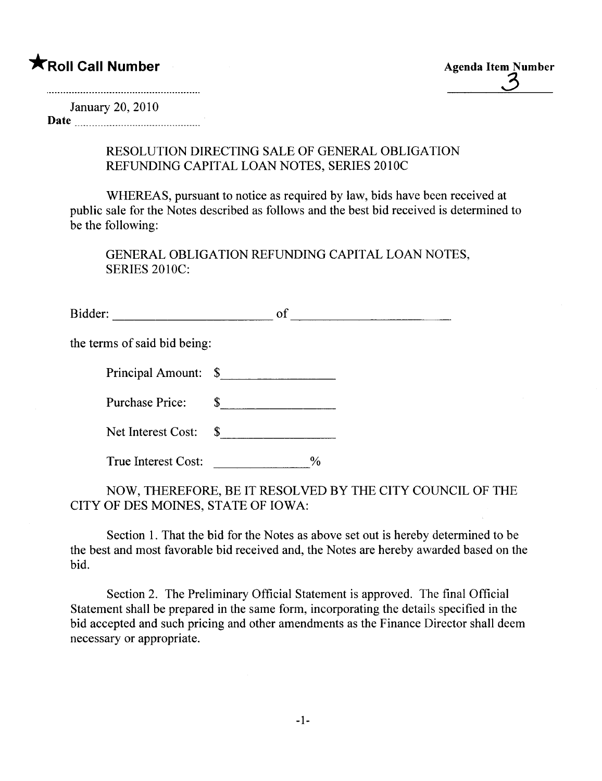**\*** Roll Call Number Agenda Item Number Agenda Item Number

January 20,2010 Date  $\frac{1}{2}$   $\frac{1}{2}$   $\frac{1}{2}$   $\frac{1}{2}$   $\frac{1}{2}$   $\frac{1}{2}$   $\frac{1}{2}$   $\frac{1}{2}$   $\frac{1}{2}$   $\frac{1}{2}$   $\frac{1}{2}$   $\frac{1}{2}$   $\frac{1}{2}$   $\frac{1}{2}$   $\frac{1}{2}$   $\frac{1}{2}$   $\frac{1}{2}$   $\frac{1}{2}$   $\frac{1}{2}$   $\frac{1}{2}$   $\frac{1}{2}$   $\frac{1}{$ 

> RESOLUTION DIRECTING SALE OF GENERAL OBLIGATION REFUNDING CAPITAL LOAN NOTES, SERIES 2010C

WHEREAS, pursuant to notice as required by law, bids have been received at public sale for the Notes described as follows and the best bid received is determined to be the following:

GENERAL OBLIGATION REFUNDING CAPITAL LOAN NOTES, SERIES 2010C:

Bidder: of of the contract of the contract of the contract of the contract of the contract of the contract of the contract of the contract of the contract of the contract of the contract of the contract of the contract of

the terms of said bid being:

| Principal Amount: |  |
|-------------------|--|
|-------------------|--|

Purchase Price: \$

| Net Interest Cost: |  |
|--------------------|--|
|--------------------|--|

True Interest Cost:  $\frac{9}{6}$ 

NOW, THEREFORE, BE IT RESOLVED BY THE CITY COUNCIL OF THE CITY OF DES MOINES, STATE OF IOWA:

Section 1. That the bid for the Notes as above set out is hereby determined to be the best and most favorable bid received and, the Notes are hereby awarded based on the bid.

Section 2. The Preliminary Official Statement is approved. The final Official Statement shall be prepared in the same form, incorporating the details specified in the bid accepted and such pricing and other amendments as the Finance Director shall deem necessary or appropriate.